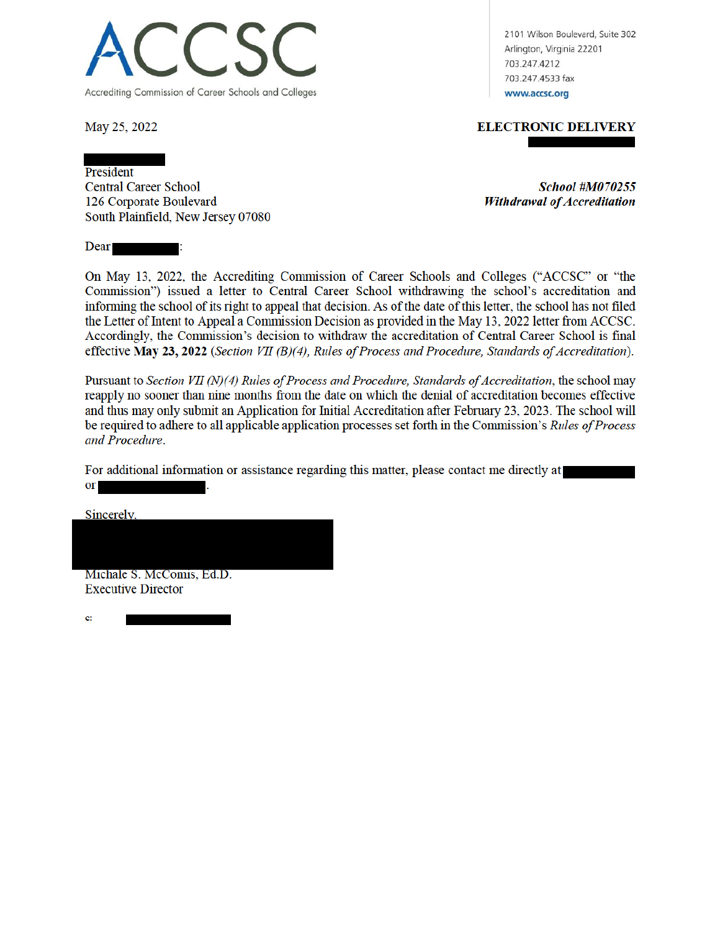

May 25, 2022

2101 Wilson Boulevard, Suite 302 Arlington, Virginia 22201 703.247.4212 703.247.4533 fax www.accsc.org

**ELECTRONIC DELIVERY** 

President **Central Career School** 126 Corporate Boulevard South Plainfield, New Jersey 07080

Ŧ.

**School #M070255 Withdrawal of Accreditation** 

Dear

On May 13, 2022, the Accrediting Commission of Career Schools and Colleges ("ACCSC" or "the Commission") issued a letter to Central Career School withdrawing the school's accreditation and informing the school of its right to appeal that decision. As of the date of this letter, the school has not filed the Letter of Intent to Appeal a Commission Decision as provided in the May 13, 2022 letter from ACCSC. Accordingly, the Commission's decision to withdraw the accreditation of Central Career School is final effective May 23, 2022 (Section VII (B)(4), Rules of Process and Procedure, Standards of Accreditation).

Pursuant to Section VII (N)(4) Rules of Process and Procedure, Standards of Accreditation, the school may reapply no sooner than nine months from the date on which the denial of accreditation becomes effective and thus may only submit an Application for Initial Accreditation after February 23, 2023. The school will be required to adhere to all applicable application processes set forth in the Commission's Rules of Process and Procedure.

For additional information or assistance regarding this matter, please contact me directly at  $or$ 

Sincerely,

Michale S. McComis, Ed.D. **Executive Director** 

c: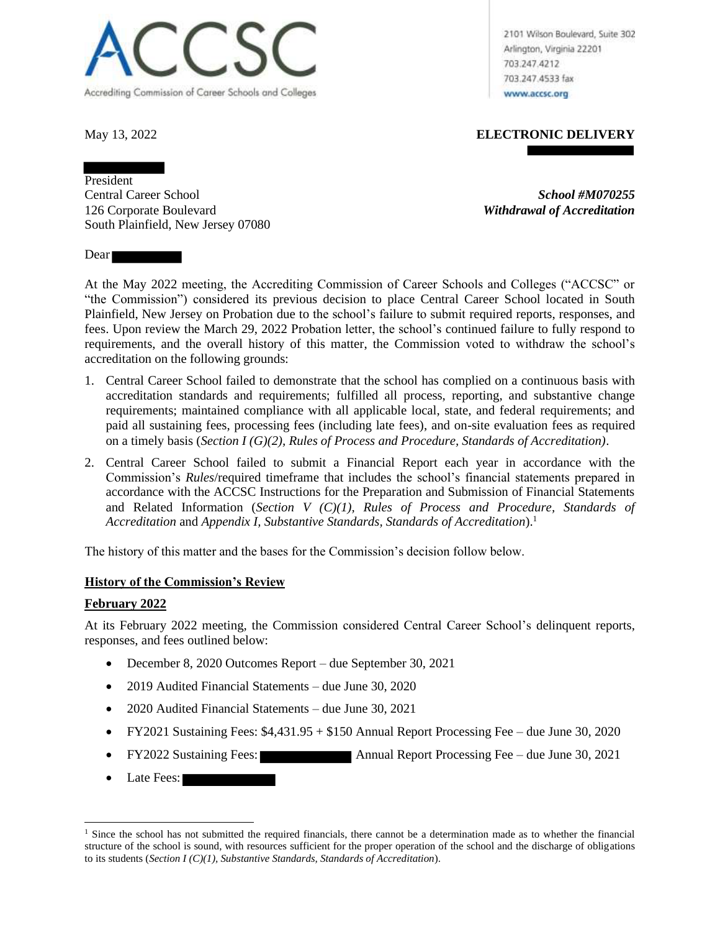

2101 Wilson Boulevard, Suite 302 Arlington, Virginia 22201 703.247.4212 703.247.4533 fax www.accsc.org

May 13, 2022 **ELECTRONIC DELIVERY**

President Central Career School *School #M070255* 126 Corporate Boulevard *Withdrawal of Accreditation* South Plainfield, New Jersey 07080

Dear **Dear** 

At the May 2022 meeting, the Accrediting Commission of Career Schools and Colleges ("ACCSC" or "the Commission") considered its previous decision to place Central Career School located in South Plainfield, New Jersey on Probation due to the school's failure to submit required reports, responses, and fees. Upon review the March 29, 2022 Probation letter, the school's continued failure to fully respond to requirements, and the overall history of this matter, the Commission voted to withdraw the school's accreditation on the following grounds:

- 1. Central Career School failed to demonstrate that the school has complied on a continuous basis with accreditation standards and requirements; fulfilled all process, reporting, and substantive change requirements; maintained compliance with all applicable local, state, and federal requirements; and paid all sustaining fees, processing fees (including late fees), and on-site evaluation fees as required on a timely basis (*Section I (G)(2), Rules of Process and Procedure, Standards of Accreditation)*.
- 2. Central Career School failed to submit a Financial Report each year in accordance with the Commission's *Rules*/required timeframe that includes the school's financial statements prepared in accordance with the ACCSC Instructions for the Preparation and Submission of Financial Statements and Related Information (*Section V (C)(1), Rules of Process and Procedure, Standards of Accreditation* and *Appendix I, Substantive Standards, Standards of Accreditation*).<sup>1</sup>

The history of this matter and the bases for the Commission's decision follow below.

# **History of the Commission's Review**

## **February 2022**

At its February 2022 meeting, the Commission considered Central Career School's delinquent reports, responses, and fees outlined below:

- December 8, 2020 Outcomes Report due September 30, 2021
- 2019 Audited Financial Statements due June 30, 2020
- 2020 Audited Financial Statements due June 30, 2021
- FY2021 Sustaining Fees: \$4,431.95 + \$150 Annual Report Processing Fee due June 30, 2020
- FY2022 Sustaining Fees: Annual Report Processing Fee due June 30, 2021
- Late Fees:

<sup>&</sup>lt;sup>1</sup> Since the school has not submitted the required financials, there cannot be a determination made as to whether the financial structure of the school is sound, with resources sufficient for the proper operation of the school and the discharge of obligations to its students (*Section I (C)(1), Substantive Standards, Standards of Accreditation*).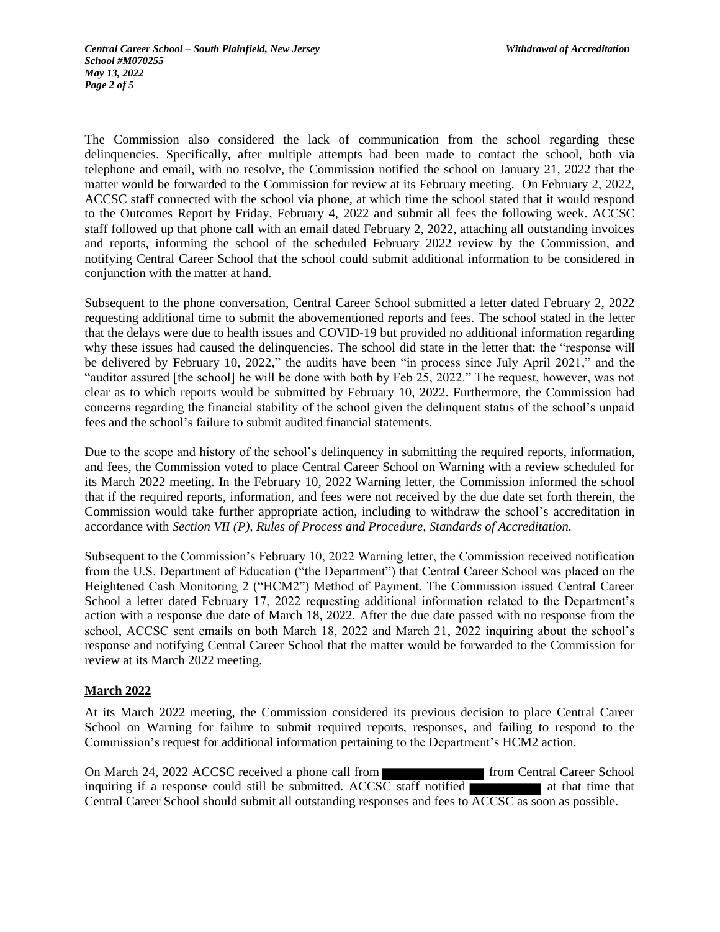The Commission also considered the lack of communication from the school regarding these delinquencies. Specifically, after multiple attempts had been made to contact the school, both via telephone and email, with no resolve, the Commission notified the school on January 21, 2022 that the matter would be forwarded to the Commission for review at its February meeting. On February 2, 2022, ACCSC staff connected with the school via phone, at which time the school stated that it would respond to the Outcomes Report by Friday, February 4, 2022 and submit all fees the following week. ACCSC staff followed up that phone call with an email dated February 2, 2022, attaching all outstanding invoices and reports, informing the school of the scheduled February 2022 review by the Commission, and notifying Central Career School that the school could submit additional information to be considered in conjunction with the matter at hand.

Subsequent to the phone conversation, Central Career School submitted a letter dated February 2, 2022 requesting additional time to submit the abovementioned reports and fees. The school stated in the letter that the delays were due to health issues and COVID-19 but provided no additional information regarding why these issues had caused the delinquencies. The school did state in the letter that: the "response will be delivered by February 10, 2022," the audits have been "in process since July April 2021," and the "auditor assured [the school] he will be done with both by Feb 25, 2022." The request, however, was not clear as to which reports would be submitted by February 10, 2022. Furthermore, the Commission had concerns regarding the financial stability of the school given the delinquent status of the school's unpaid fees and the school's failure to submit audited financial statements.

Due to the scope and history of the school's delinquency in submitting the required reports, information, and fees, the Commission voted to place Central Career School on Warning with a review scheduled for its March 2022 meeting. In the February 10, 2022 Warning letter, the Commission informed the school that if the required reports, information, and fees were not received by the due date set forth therein, the Commission would take further appropriate action, including to withdraw the school's accreditation in accordance with *Section VII (P), Rules of Process and Procedure, Standards of Accreditation.*

Subsequent to the Commission's February 10, 2022 Warning letter, the Commission received notification from the U.S. Department of Education ("the Department") that Central Career School was placed on the Heightened Cash Monitoring 2 ("HCM2") Method of Payment. The Commission issued Central Career School a letter dated February 17, 2022 requesting additional information related to the Department's action with a response due date of March 18, 2022. After the due date passed with no response from the school, ACCSC sent emails on both March 18, 2022 and March 21, 2022 inquiring about the school's response and notifying Central Career School that the matter would be forwarded to the Commission for review at its March 2022 meeting.

## **March 2022**

At its March 2022 meeting, the Commission considered its previous decision to place Central Career School on Warning for failure to submit required reports, responses, and failing to respond to the Commission's request for additional information pertaining to the Department's HCM2 action.

On March 24, 2022 ACCSC received a phone call from **from From Central Career School** inquiring if a response could still be submitted. ACCSC staff notified  $\blacksquare$  at that time that Central Career School should submit all outstanding responses and fees to ACCSC as soon as possible.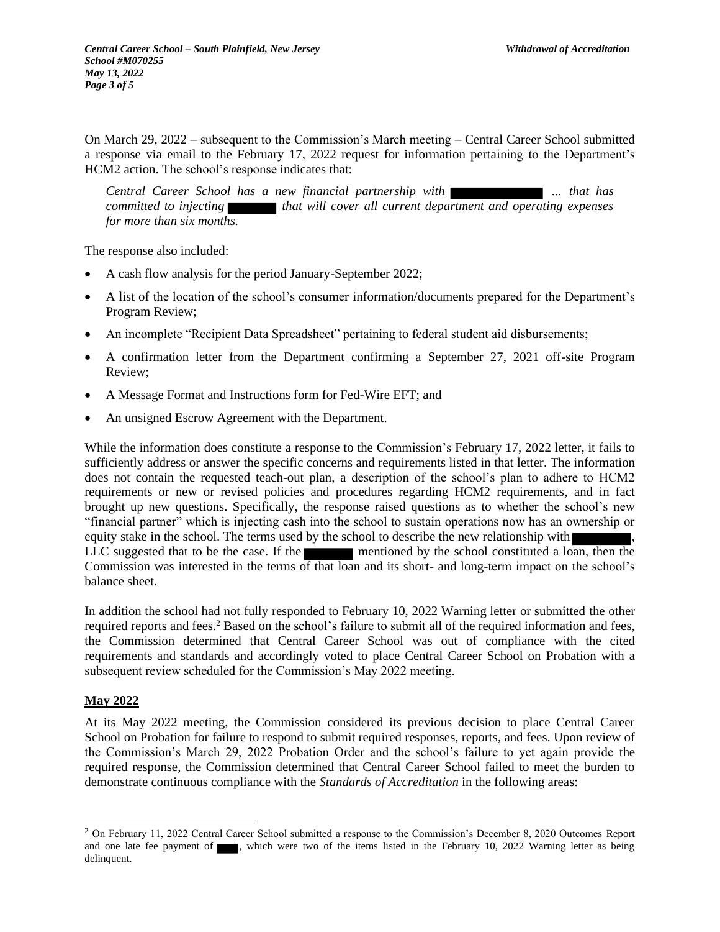On March 29, 2022 – subsequent to the Commission's March meeting – Central Career School submitted a response via email to the February 17, 2022 request for information pertaining to the Department's HCM2 action. The school's response indicates that:

*Central Career School has a new financial partnership with … that has committed to injecting* that will cover all current department and operating expenses *for more than six months.*

The response also included:

- A cash flow analysis for the period January-September 2022;
- A list of the location of the school's consumer information/documents prepared for the Department's Program Review;
- An incomplete "Recipient Data Spreadsheet" pertaining to federal student aid disbursements;
- A confirmation letter from the Department confirming a September 27, 2021 off-site Program Review;
- A Message Format and Instructions form for Fed-Wire EFT; and
- An unsigned Escrow Agreement with the Department.

While the information does constitute a response to the Commission's February 17, 2022 letter, it fails to sufficiently address or answer the specific concerns and requirements listed in that letter. The information does not contain the requested teach-out plan, a description of the school's plan to adhere to HCM2 requirements or new or revised policies and procedures regarding HCM2 requirements, and in fact brought up new questions. Specifically, the response raised questions as to whether the school's new "financial partner" which is injecting cash into the school to sustain operations now has an ownership or equity stake in the school. The terms used by the school to describe the new relationship with LLC suggested that to be the case. If the mentioned by the school constituted a loan, then the Commission was interested in the terms of that loan and its short- and long-term impact on the school's balance sheet.

In addition the school had not fully responded to February 10, 2022 Warning letter or submitted the other required reports and fees.<sup>2</sup> Based on the school's failure to submit all of the required information and fees, the Commission determined that Central Career School was out of compliance with the cited requirements and standards and accordingly voted to place Central Career School on Probation with a subsequent review scheduled for the Commission's May 2022 meeting.

## **May 2022**

At its May 2022 meeting, the Commission considered its previous decision to place Central Career School on Probation for failure to respond to submit required responses, reports, and fees. Upon review of the Commission's March 29, 2022 Probation Order and the school's failure to yet again provide the required response, the Commission determined that Central Career School failed to meet the burden to demonstrate continuous compliance with the *Standards of Accreditation* in the following areas:

<sup>&</sup>lt;sup>2</sup> On February 11, 2022 Central Career School submitted a response to the Commission's December 8, 2020 Outcomes Report and one late fee payment of  $\blacksquare$ , which were two of the items listed in the February 10, 2022 Warning letter as being delinquent.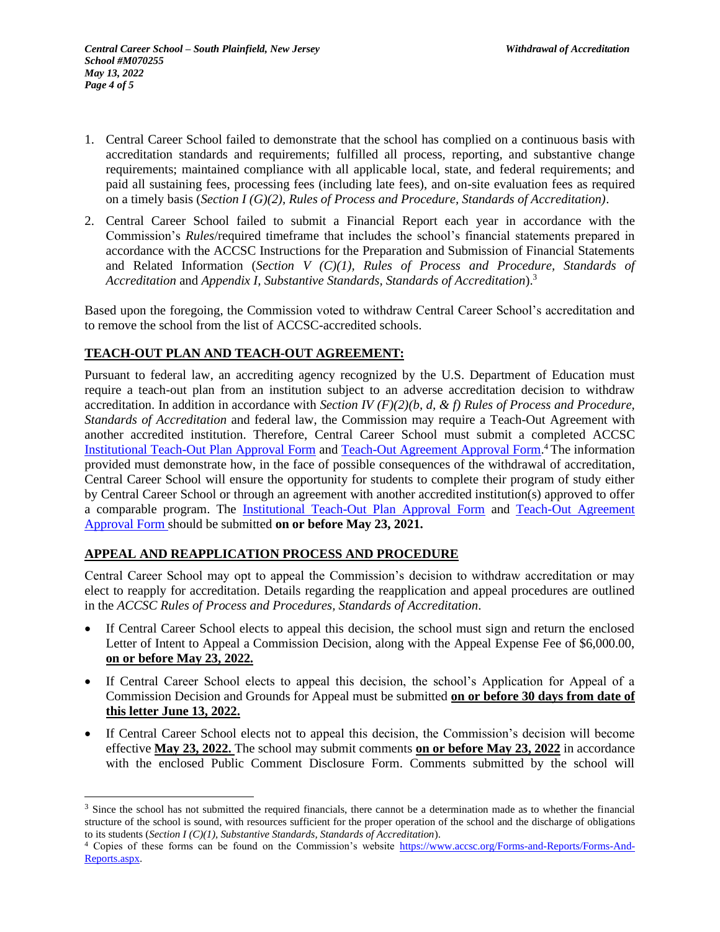- 1. Central Career School failed to demonstrate that the school has complied on a continuous basis with accreditation standards and requirements; fulfilled all process, reporting, and substantive change requirements; maintained compliance with all applicable local, state, and federal requirements; and paid all sustaining fees, processing fees (including late fees), and on-site evaluation fees as required on a timely basis (*Section I (G)(2), Rules of Process and Procedure, Standards of Accreditation)*.
- 2. Central Career School failed to submit a Financial Report each year in accordance with the Commission's *Rules*/required timeframe that includes the school's financial statements prepared in accordance with the ACCSC Instructions for the Preparation and Submission of Financial Statements and Related Information (*Section V (C)(1), Rules of Process and Procedure, Standards of Accreditation* and *Appendix I, Substantive Standards, Standards of Accreditation*). 3

Based upon the foregoing, the Commission voted to withdraw Central Career School's accreditation and to remove the school from the list of ACCSC-accredited schools.

# **TEACH-OUT PLAN AND TEACH-OUT AGREEMENT:**

Pursuant to federal law, an accrediting agency recognized by the U.S. Department of Education must require a teach-out plan from an institution subject to an adverse accreditation decision to withdraw accreditation. In addition in accordance with *Section IV (F)(2)(b, d, & f) Rules of Process and Procedure, Standards of Accreditation* and federal law, the Commission may require a Teach-Out Agreement with another accredited institution. Therefore, Central Career School must submit a completed ACCSC Institutional Teach-Out Plan Approval Form and Teach-Out Agreement Approval Form.<sup>4</sup> The information provided must demonstrate how, in the face of possible consequences of the withdrawal of accreditation, Central Career School will ensure the opportunity for students to complete their program of study either by Central Career School or through an agreement with another accredited institution(s) approved to offer a comparable program. The Institutional Teach-Out Plan Approval Form and Teach-Out Agreement Approval Form should be submitted **on or before May 23, 2021.**

## **APPEAL AND REAPPLICATION PROCESS AND PROCEDURE**

Central Career School may opt to appeal the Commission's decision to withdraw accreditation or may elect to reapply for accreditation. Details regarding the reapplication and appeal procedures are outlined in the *ACCSC Rules of Process and Procedures, Standards of Accreditation*.

- If Central Career School elects to appeal this decision, the school must sign and return the enclosed Letter of Intent to Appeal a Commission Decision, along with the Appeal Expense Fee of \$6,000.00, **on or before May 23, 2022.**
- If Central Career School elects to appeal this decision, the school's Application for Appeal of a Commission Decision and Grounds for Appeal must be submitted **on or before 30 days from date of this letter June 13, 2022.**
- If Central Career School elects not to appeal this decision, the Commission's decision will become effective **May 23, 2022.** The school may submit comments **on or before May 23, 2022** in accordance with the enclosed Public Comment Disclosure Form. Comments submitted by the school will

 $3$  Since the school has not submitted the required financials, there cannot be a determination made as to whether the financial structure of the school is sound, with resources sufficient for the proper operation of the school and the discharge of obligations to its students (*Section I (C)(1), Substantive Standards, Standards of Accreditation*).

<sup>&</sup>lt;sup>4</sup> Copies of these forms can be found on the Commission's website https://www.accsc.org/Forms-and-Reports/Forms-And-Reports.aspx.